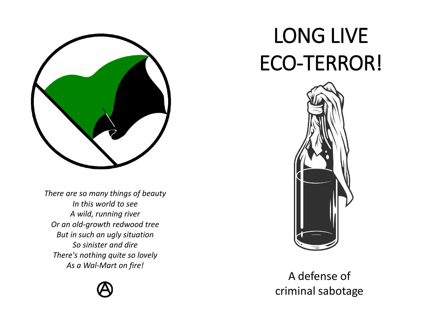

*There are so many things of beauty In this world to see A wild, running river Or an old-growth redwood tree But in such an ugly situation So sinister and dire There's nothing quite so lovely As a Wal-Mart on fire!*



## LONG LIVE ECO-TERROR!



A defense of criminal sabotage